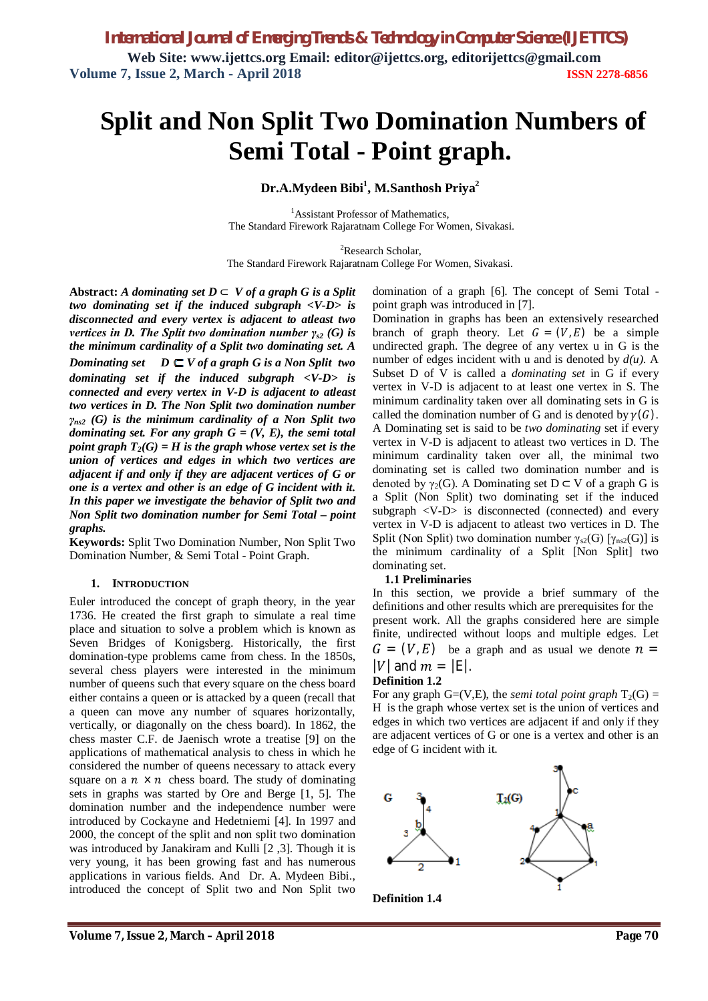# **Split and Non Split Two Domination Numbers of Semi Total - Point graph.**

**Dr.A.Mydeen Bibi<sup>1</sup> , M.Santhosh Priya<sup>2</sup>**

<sup>1</sup>Assistant Professor of Mathematics, The Standard Firework Rajaratnam College For Women, Sivakasi.

<sup>2</sup>Research Scholar.

The Standard Firework Rajaratnam College For Women, Sivakasi.

Abstract: *A dominating set*  $D \subset V$  *of a graph G is a Split two dominating set if the induced subgraph <V-D> is disconnected and every vertex is adjacent to atleast two vertices in D. The Split two domination number γ<sub><i>s2*</sub> (G) is *the minimum cardinality of a Split two dominating set. A Dominating set*  $D \subseteq V$  *of a graph G is a Non Split two dominating set if the induced subgraph <V-D> is connected and every vertex in V-D is adjacent to atleast two vertices in D. The Non Split two domination number γns2 (G) is the minimum cardinality of a Non Split two dominating set. For any graph G = (V, E), the semi total point graph*  $T_2(G) = H$  *is the graph whose vertex set is the union of vertices and edges in which two vertices are adjacent if and only if they are adjacent vertices of G or one is a vertex and other is an edge of G incident with it. In this paper we investigate the behavior of Split two and Non Split two domination number for Semi Total – point graphs.*

**Keywords:** Split Two Domination Number, Non Split Two Domination Number, & Semi Total - Point Graph.

#### **1. INTRODUCTION**

Euler introduced the concept of graph theory, in the year 1736. He created the first graph to simulate a real time place and situation to solve a problem which is known as Seven Bridges of Konigsberg. Historically, the first domination-type problems came from chess. In the 1850s, several chess players were interested in the minimum number of queens such that every square on the chess board either contains a queen or is attacked by a queen (recall that a queen can move any number of squares horizontally, vertically, or diagonally on the chess board). In 1862, the chess master C.F. de Jaenisch wrote a treatise [9] on the applications of mathematical analysis to chess in which he considered the number of queens necessary to attack every square on a  $n \times n$  chess board. The study of dominating sets in graphs was started by Ore and Berge [1, 5]. The domination number and the independence number were introduced by Cockayne and Hedetniemi [4]. In 1997 and 2000, the concept of the split and non split two domination was introduced by Janakiram and Kulli [2 ,3]. Though it is very young, it has been growing fast and has numerous applications in various fields. And Dr. A. Mydeen Bibi., introduced the concept of Split two and Non Split two

domination of a graph [6]. The concept of Semi Total point graph was introduced in [7].

Domination in graphs has been an extensively researched branch of graph theory. Let  $G = (V, E)$  be a simple undirected graph. The degree of any vertex u in G is the number of edges incident with u and is denoted by *d(u)*. A Subset D of V is called a *dominating set* in G if every vertex in V-D is adjacent to at least one vertex in S. The minimum cardinality taken over all dominating sets in G is called the domination number of G and is denoted by  $\gamma(G)$ . A Dominating set is said to be *two dominating* set if every vertex in V-D is adjacent to atleast two vertices in D. The minimum cardinality taken over all, the minimal two dominating set is called two domination number and is denoted by  $\gamma_2(G)$ . A Dominating set D ⊂ V of a graph G is a Split (Non Split) two dominating set if the induced subgraph <V-D> is disconnected (connected) and every vertex in V-D is adjacent to atleast two vertices in D. The Split (Non Split) two domination number  $\gamma_{s2}(G)$  [ $\gamma_{ns2}(G)$ ] is the minimum cardinality of a Split [Non Split] two dominating set.

#### **1.1 Preliminaries**

In this section, we provide a brief summary of the definitions and other results which are prerequisites for the present work. All the graphs considered here are simple finite, undirected without loops and multiple edges. Let  $G = (V, E)$  be a graph and as usual we denote  $n =$  $|V|$  and  $m = |E|$ .

#### **Definition 1.2**

For any graph  $G=(V,E)$ , the *semi total point graph*  $T_2(G)$  = H is the graph whose vertex set is the union of vertices and edges in which two vertices are adjacent if and only if they are adjacent vertices of G or one is a vertex and other is an edge of G incident with it.



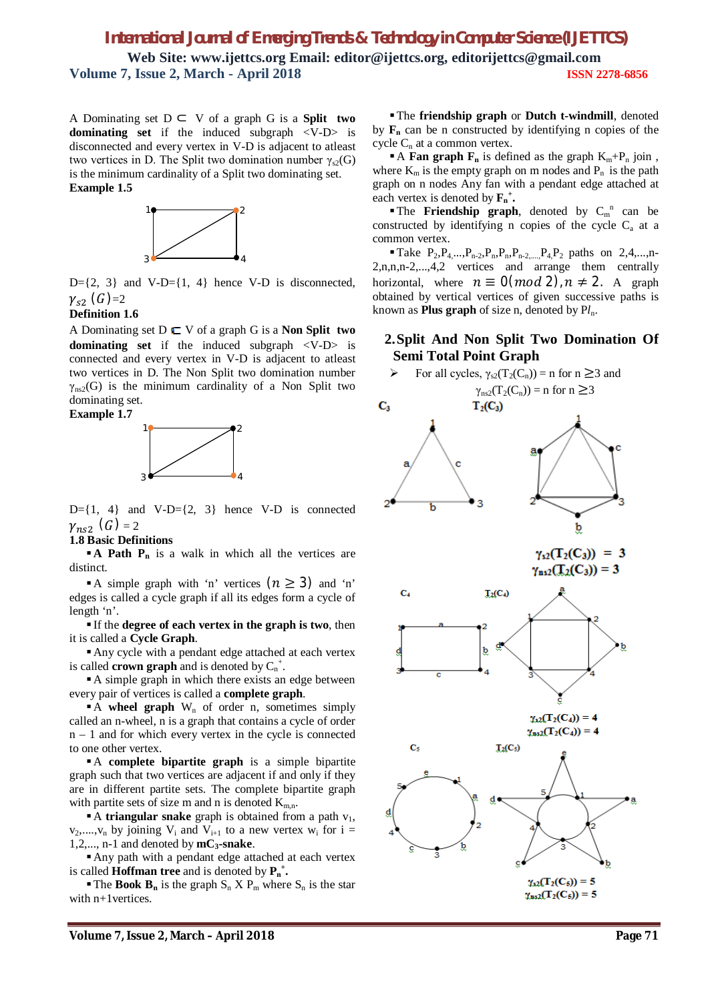A Dominating set D ⊂ V of a graph G is a **Split two dominating set** if the induced subgraph <V-D> is disconnected and every vertex in V-D is adjacent to atleast two vertices in D. The Split two domination number  $\gamma_{\rm s2}(G)$ is the minimum cardinality of a Split two dominating set. **Example 1.5**



 $D=\{2, 3\}$  and V-D= $\{1, 4\}$  hence V-D is disconnected,  $\gamma_{s2}$  (G)=2

#### **Definition 1.6**

A Dominating set  $D \subset V$  of a graph G is a **Non Split two dominating set** if the induced subgraph <V-D> is connected and every vertex in V-D is adjacent to atleast two vertices in D. The Non Split two domination number  $\gamma_{\rm ns2}$ (G) is the minimum cardinality of a Non Split two dominating set.

#### **Example 1.7**



 $D=\{1, 4\}$  and  $V-D=\{2, 3\}$  hence V-D is connected  $\gamma_{ns2}$   $(G)$  = 2

#### **1.8 Basic Definitions**

**A Path P<sub>n</sub>** is a walk in which all the vertices are distinct.

A simple graph with 'n' vertices  $(n \geq 3)$  and 'n' edges is called a cycle graph if all its edges form a cycle of length 'n'.

 If the **degree of each vertex in the graph is two**, then it is called a **Cycle Graph**.

Any cycle with a pendant edge attached at each vertex is called **crown graph** and is denoted by  $C_n^+$ .

A simple graph in which there exists an edge between every pair of vertices is called a **complete graph**.

A **wheel graph** W<sub>n</sub> of order n, sometimes simply called an n-wheel, n is a graph that contains a cycle of order  $n - 1$  and for which every vertex in the cycle is connected to one other vertex.

A **complete bipartite graph** is a simple bipartite graph such that two vertices are adjacent if and only if they are in different partite sets. The complete bipartite graph with partite sets of size m and n is denoted  $K_{m,n}$ .

A **triangular snake** graph is obtained from a path  $v_1$ ,  $v_2,...,v_n$  by joining  $V_i$  and  $V_{i+1}$  to a new vertex  $w_i$  for  $i =$ 1,2,..., n-1 and denoted by  $mC_3$ -snake.

Any path with a pendant edge attached at each vertex is called **Hoffman tree** and is denoted by  $P_n^+$ .

**The Book**  $B_n$  **is the graph**  $S_n$  **X**  $P_m$  **where**  $S_n$  **is the star** with n+1vertices.

The **friendship graph** or **Dutch t-windmill**, denoted by  $\mathbf{F}_n$  can be n constructed by identifying n copies of the cycle  $C_n$  at a common vertex.

A Fan graph  $F_n$  is defined as the graph  $K_m + P_n$  join, where  $K_m$  is the empty graph on m nodes and  $P_n$  is the path graph on n nodes Any fan with a pendant edge attached at each vertex is denoted by  $\mathbf{F}_{n}^{+}$ .

The **Friendship graph**, denoted by  $C_m^n$  can be constructed by identifying n copies of the cycle  $C<sub>a</sub>$  at a common vertex.

Take  $P_2, P_4, \ldots, P_{n-2}, P_n, P_n, P_{n-2}, \ldots, P_4, P_2$  paths on 2,4,...,n-2,n,n,n-2,...,4,2 vertices and arrange them centrally horizontal, where  $n \equiv 0 \pmod{2}$ ,  $n \neq 2$ . A graph obtained by vertical vertices of given successive paths is known as **Plus graph** of size n, denoted by P*l*n.

### **2.Split And Non Split Two Domination Of Semi Total Point Graph**

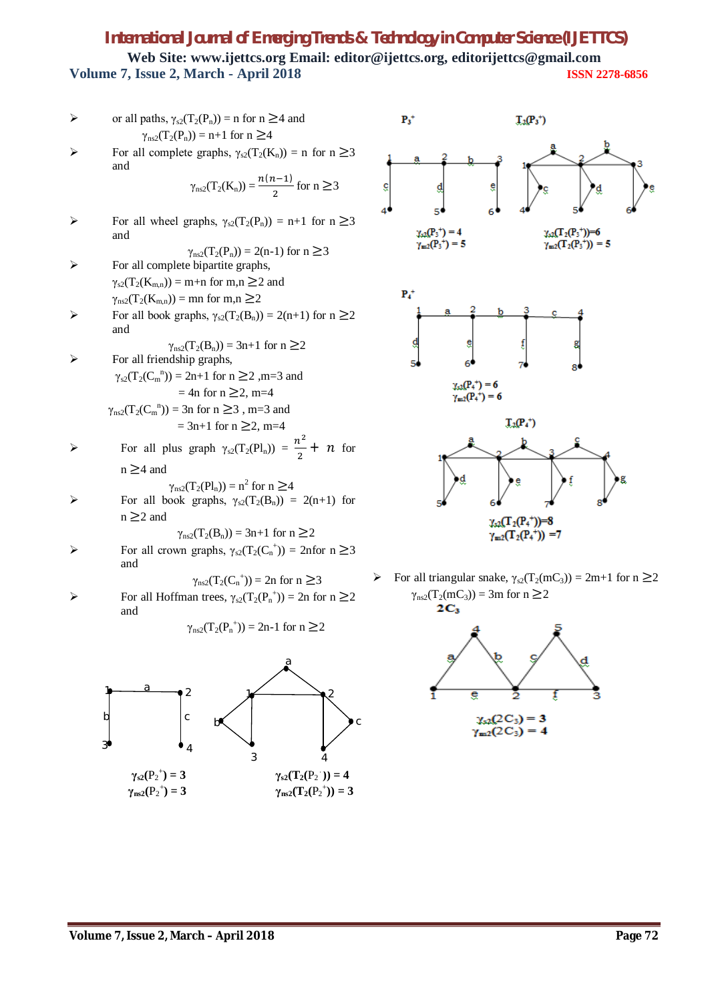or all paths, 
$$
\gamma_{s2}(T_2(P_n)) = n
$$
 for  $n \geq 4$  and  $\gamma_{ns2}(T_2(P_n)) = n+1$  for  $n \geq 4$ 

\nFor all complete graphs,  $\gamma_{s2}(T_2(K_n)) = n$  for  $n \geq 3$  and  $\gamma_{ns2}(T_2(K_n)) = \frac{n(n-1)}{2}$  for  $n \geq 3$  and  $\gamma_{ns2}(T_2(P_n)) = 2(n-1)$  for  $n \geq 3$ 

\nFor all complete bipartite graphs,  $\gamma_{s2}(T_2(P_n)) = 2(n-1)$  for  $n \geq 3$ 

\nFor all complete bipartite graphs,  $\gamma_{s2}(T_2(K_{m,n})) = m+n$  for  $m, n \geq 2$  and  $\gamma_{ns2}(T_2(K_{m,n})) = mn$  for  $m, n \geq 2$ 

\nFor all book graphs,  $\gamma_{s2}(T_2(B_n)) = 2(n+1)$  for  $n \geq 2$  and  $\gamma_{ns2}(T_2(C_n^n)) = 3n+1$  for  $n \geq 2$ 

\nFor all friendly graphs,  $\gamma_{s2}(T_2(C_n^n)) = 2n+1$  for  $n \geq 2$ ,  $m=3$  and  $= 4n$  for  $n \geq 2$ ,  $m=4$ 

\nFor all plus graph  $\gamma_{s2}(T_2(P_n)) = \frac{n^2}{2} + n$  for  $n \geq 4$  and  $\gamma_{ns2}(T_2(P_n)) = n^2$  for  $n \geq 4$  and  $\gamma_{ns2}(T_2(P_n)) = n^2$  for  $n \geq 4$  for all book graphs,  $\gamma_{s2}(T_2(B_n)) = 2(n+1)$  for  $n \geq 2$ 

 $\gamma_{\text{ns2}}(T_2(B_n)) = 3n+1$  for  $n \ge 2$  $\triangleright$  For all crown graphs,  $\gamma_{s2}(T_2(C_n^+)) = 2n$  for  $n \geq 3$ and

$$
\gamma_{\rm ns2}(T_2(C_n^{\ +})) = 2n \text{ for } n \geq 3
$$

 $\triangleright$  For all Hoffman trees, γ<sub>s2</sub>(T<sub>2</sub>(P<sub>n</sub><sup>+</sup>)) = 2n for n ≥2 and

$$
\gamma_{n s 2}(T_2(P_n^+)) = 2n-1 \text{ for } n \ge 2
$$





For all triangular snake,  $\gamma_{s2}(T_2(mC_3)) = 2m+1$  for  $n \ge 2$  $\gamma_{\text{ns2}}(T_2(mC_3)) = 3m$  for  $n \ge 2$ <br>2C<sub>3</sub>

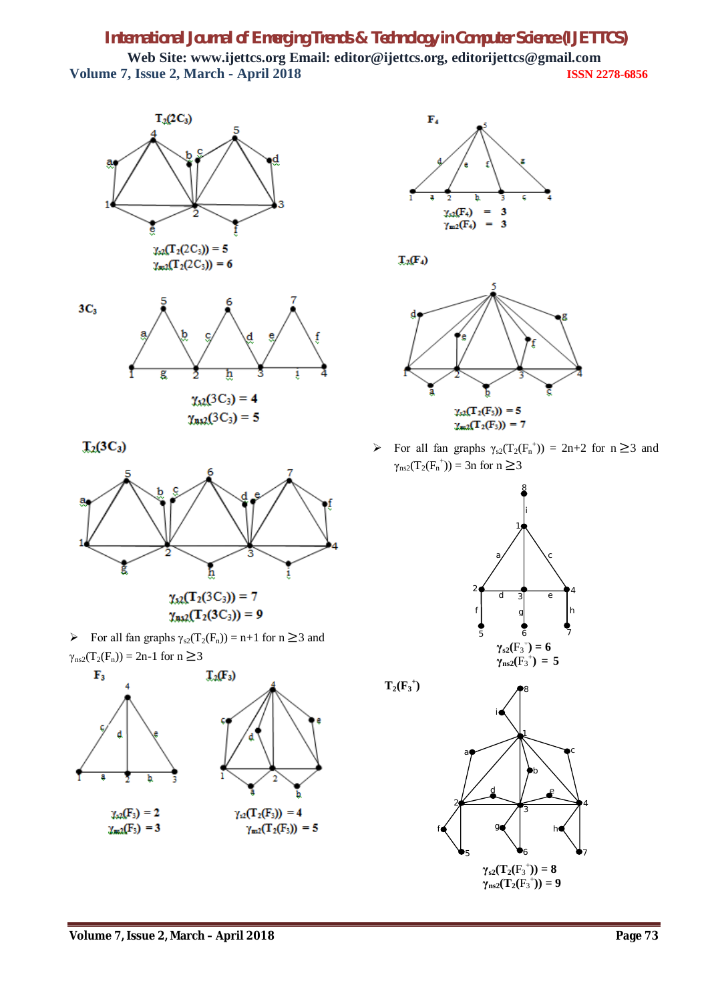



 $T_2(3C_3)$ 



For all fan graphs  $\gamma_{s2}(T_2(F_n)) = n+1$  for  $n \geq 3$  and  $\gamma_{\text{ns2}}(T_2(F_n)) = 2n-1$  for  $n \geq 3$ 





 $T_2(F_4)$ 



For all fan graphs  $\gamma_{s2}(T_2(F_n^+)) = 2n+2$  for  $n \geq 3$  and  $\gamma_{\text{ns2}}(T_2(F_n^+)) = 3n$  for  $n \ge 3$ 



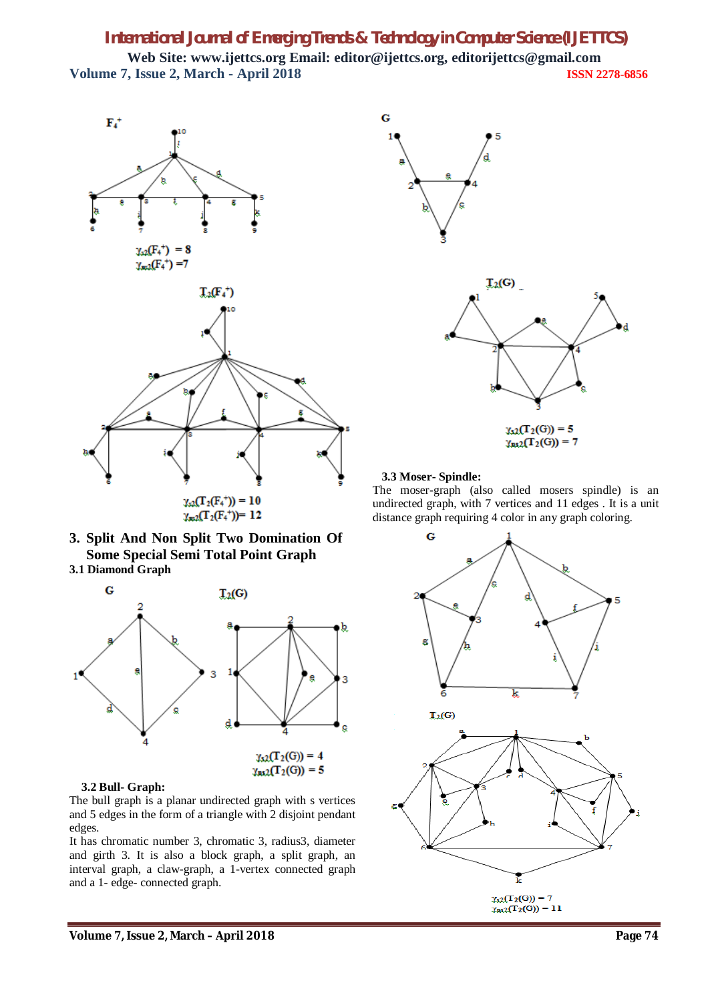Ġ







#### **3.2 Bull- Graph:**

The bull graph is a planar undirected graph with s vertices and 5 edges in the form of a triangle with 2 disjoint pendant edges.

It has chromatic number 3, chromatic 3, radius3, diameter and girth 3. It is also a block graph, a split graph, an interval graph, a claw-graph, a 1-vertex connected graph and a 1- edge- connected graph.



#### **3.3 Moser- Spindle:**

The moser-graph (also called mosers spindle) is an undirected graph, with 7 vertices and 11 edges . It is a unit distance graph requiring 4 color in any graph coloring.

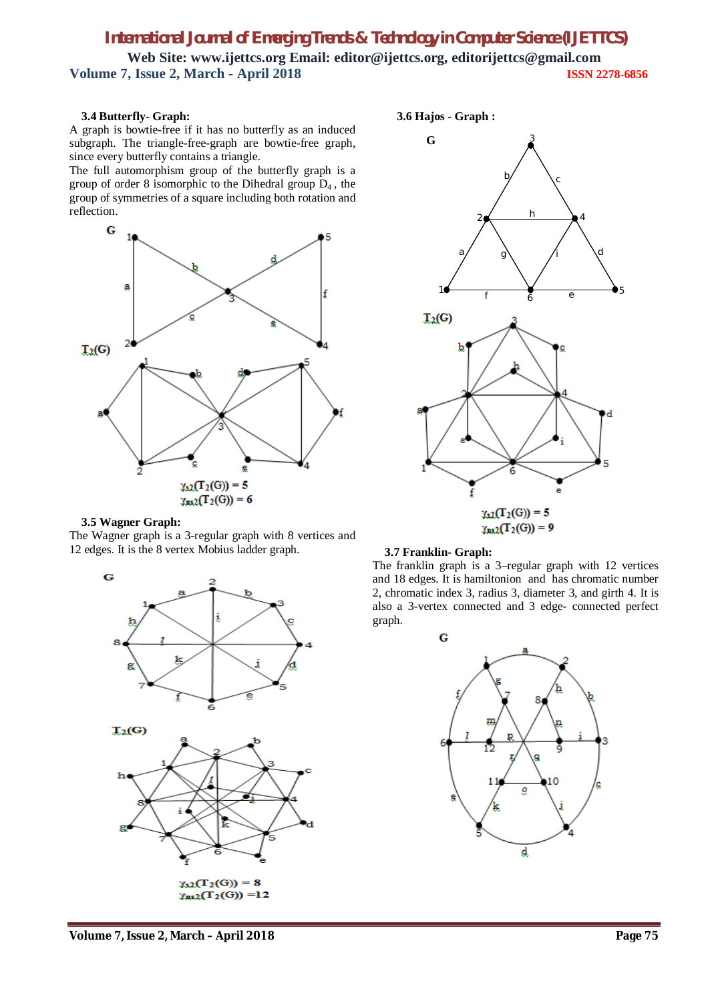#### **3.4 Butterfly- Graph:**

A graph is bowtie-free if it has no butterfly as an induced subgraph. The triangle-free-graph are bowtie-free graph, since every butterfly contains a triangle.

The full automorphism group of the butterfly graph is a group of order 8 isomorphic to the Dihedral group  $D_4$ , the group of symmetries of a square including both rotation and reflection.



#### **3.5 Wagner Graph:**

The Wagner graph is a 3-regular graph with 8 vertices and 12 edges. It is the 8 vertex Mobius ladder graph.







#### **3.7 Franklin- Graph:**

The franklin graph is a 3–regular graph with 12 vertices and 18 edges. It is hamiltonion and has chromatic number 2, chromatic index 3, radius 3, diameter 3, and girth 4. It is also a 3-vertex connected and 3 edge- connected perfect graph.

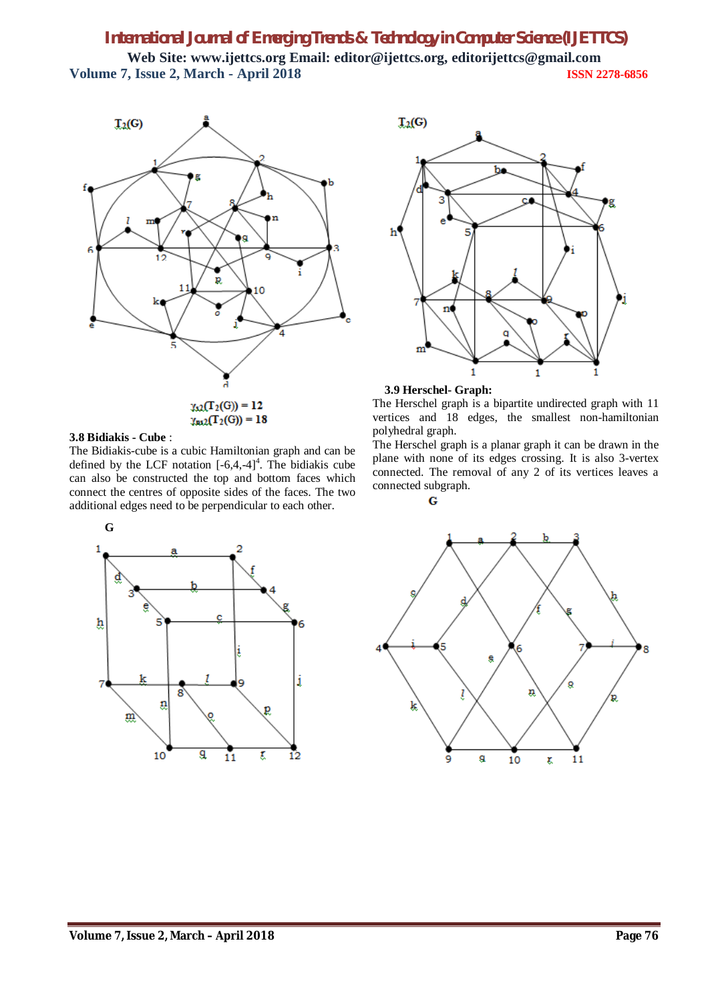

#### **3.8 Bidiakis - Cube** :

The Bidiakis-cube is a cubic Hamiltonian graph and can be defined by the LCF notation  $[-6,4,-4]^4$ . The bidiakis cube can also be constructed the top and bottom faces which connect the centres of opposite sides of the faces. The two additional edges need to be perpendicular to each other.





**3.9 Herschel- Graph:**

The Herschel graph is a bipartite undirected graph with 11 vertices and 18 edges, the smallest non-hamiltonian polyhedral graph.

The Herschel graph is a planar graph it can be drawn in the plane with none of its edges crossing. It is also 3-vertex connected. The removal of any 2 of its vertices leaves a connected subgraph.



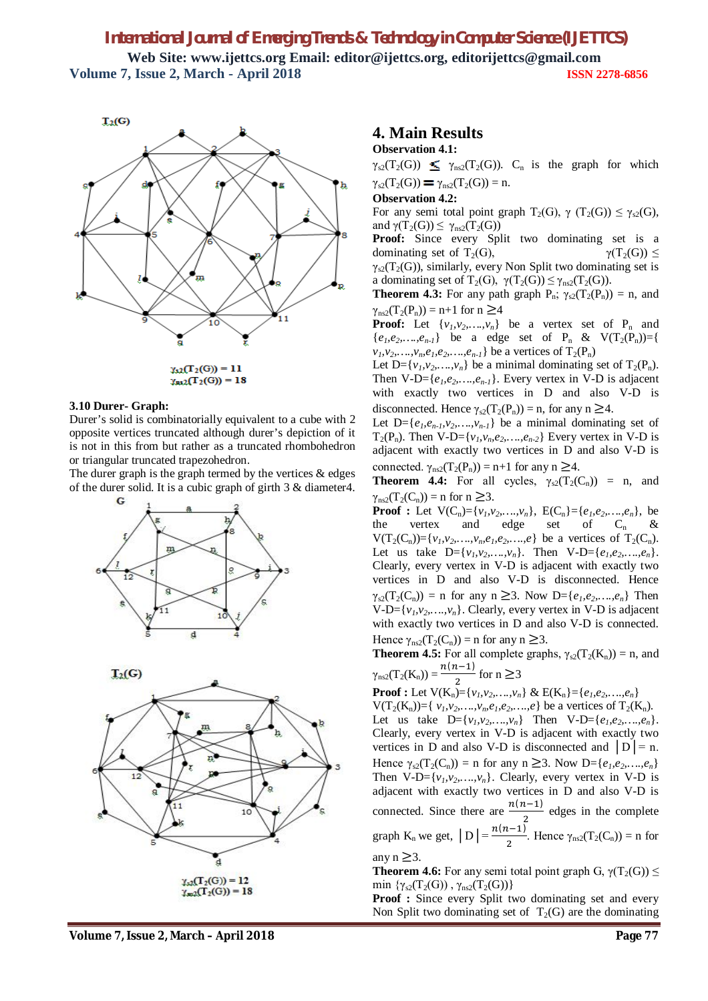![](_page_7_Figure_1.jpeg)

#### **3.10 Durer- Graph:**

Durer's solid is combinatorially equivalent to a cube with 2 opposite vertices truncated although durer's depiction of it is not in this from but rather as a truncated rhombohedron or triangular truncated trapezohedron.

The durer graph is the graph termed by the vertices  $\&$  edges of the durer solid. It is a cubic graph of girth 3 & diameter4.

![](_page_7_Figure_5.jpeg)

![](_page_7_Figure_6.jpeg)

### **4. Main Results**

#### **Observation 4.1:**

 $\gamma_{s2}(T_2(G)) \leq \gamma_{ns2}(T_2(G))$ . C<sub>n</sub> is the graph for which  $\gamma_{s2}(T_2(G)) = \gamma_{nS2}(T_2(G)) = n.$ 

#### **Observation 4.2:**

For any semi total point graph  $T_2(G)$ ,  $\gamma$  (T<sub>2</sub>(G))  $\leq \gamma_{s2}(G)$ , and  $\gamma(T_2(G)) \leq \gamma_{ns2}(T_2(G))$ 

**Proof:** Since every Split two dominating set is a dominating set of T<sub>2</sub>(G),  $\gamma(T_2(G)) \leq$  $\gamma_{s2}(T_2(G))$ , similarly, every Non Split two dominating set is a dominating set of T<sub>2</sub>(G),  $\gamma(T_2(G)) \leq \gamma_{ns2}(T_2(G))$ .

**Theorem 4.3:** For any path graph  $P_n$ ;  $\gamma_{s2}(T_2(P_n)) = n$ , and  $\gamma_{ns2}(T_2(P_n)) = n+1$  for  $n \geq 4$ 

**Proof:** Let  $\{v_1, v_2, ..., v_n\}$  be a vertex set of  $P_n$  and  ${e_1, e_2, ..., e_{n-l}}$  be a edge set of  $P_n$  &  $V(T_2(P_n))={}$  $v_1, v_2, \ldots, v_n, e_1, e_2, \ldots, e_{n-1}$  be a vertices of  $T_2(P_n)$ 

Let  $D = \{v_1, v_2, \ldots, v_n\}$  be a minimal dominating set of  $T_2(P_n)$ . Then  $V-D=\{e_1,e_2,\ldots,e_{n-1}\}\$ . Every vertex in V-D is adjacent with exactly two vertices in D and also V-D is disconnected. Hence  $\gamma_{s2}(T_2(P_n)) = n$ , for any n  $\geq 4$ .

Let  $D = \{e_1, e_{n-1}, v_2, \ldots, v_{n-1}\}\$ be a minimal dominating set of  $T_2(P_n)$ . Then V-D={ $v_l$ ,  $v_n$ ,  $e_2$ , ...,  $e_{n-2}$ } Every vertex in V-D is adjacent with exactly two vertices in D and also V-D is connected.  $\gamma_{\text{ns2}}(T_2(P_n)) = n+1$  for any  $n \geq 4$ .

**Theorem 4.4:** For all cycles,  $\gamma_{s2}(T_2(C_n)) = n$ , and  $\gamma_{\rm ns2}(T_2(C_n))$  = n for n  $\geq$ 3.

**Proof :** Let  $V(C_n) = \{v_1, v_2, ..., v_n\}$ ,  $E(C_n) = \{e_1, e_2, ..., e_n\}$ , be the vertex and edge set of  $C_n$  &  $V(T_2(C_n)) = \{v_1, v_2, \ldots, v_n, e_1, e_2, \ldots, e\}$  be a vertices of  $T_2(C_n)$ . Let us take  $D = \{v_1, v_2, ..., v_n\}$ . Then  $V - D = \{e_1, e_2, ..., e_n\}$ . Clearly, every vertex in V-D is adjacent with exactly two vertices in D and also V-D is disconnected. Hence  $\gamma_{s2}(T_2(C_n)) = n$  for any  $n \geq 3$ . Now  $D = \{e_1, e_2, ..., e_n\}$  Then  $V-D=\{v_1,v_2,\ldots,v_n\}$ . Clearly, every vertex in V-D is adjacent with exactly two vertices in D and also V-D is connected. Hence  $\gamma_{ns2}(T_2(C_n)) = n$  for any  $n \geq 3$ .

**Theorem 4.5:** For all complete graphs,  $\gamma_{s2}(T_2(K_n)) = n$ , and  $\gamma_{\rm ns2}(T_2(K_{\rm n})) = \frac{n(n-1)}{2}$ 

 $\frac{1}{2}$  for n  $\geq$ 3 **Proof :** Let  $V(K_n) = \{v_1, v_2, ..., v_n\}$  &  $E(K_n) = \{e_1, e_2, ..., e_n\}$  $V(T_2(K_n)) = \{ v_1, v_2, \ldots, v_n, e_1, e_2, \ldots, e \}$  be a vertices of  $T_2(K_n)$ . Let us take  $D = \{v_1, v_2, ..., v_n\}$  Then  $V - D = \{e_1, e_2, ..., e_n\}$ . Clearly, every vertex in V-D is adjacent with exactly two vertices in D and also V-D is disconnected and  $|D| = n$ . Hence  $\gamma_{s2}(T_2(C_n)) = n$  for any  $n \geq 3$ . Now  $D = \{e_1, e_2, ..., e_n\}$ Then V-D= $\{v_1, v_2, ..., v_n\}$ . Clearly, every vertex in V-D is adjacent with exactly two vertices in D and also V-D is connected. Since there are  $\frac{n(n-1)}{2}$  $\frac{1}{2}$  edges in the complete graph  $K_n$  we get,  $|D| = \frac{n(n-1)}{2}$ . Hence  $\gamma_{ns2}(T_2(C_n)) = n$  for any n  $\geq$ 3.

**Theorem 4.6:** For any semi total point graph G,  $\gamma(T_2(G)) \leq$ min { $\gamma_{s2}(T_2(G))$ ,  $\gamma_{ns2}(T_2(G))$ }

Proof : Since every Split two dominating set and every Non Split two dominating set of  $T_2(G)$  are the dominating

**Volume 7, Issue 2, March – April 2018 Page 77**